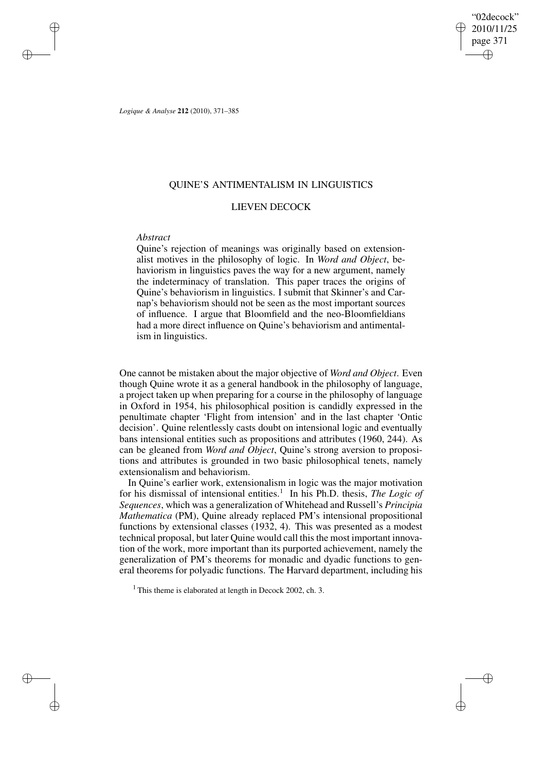"02decock" 2010/11/25 page 371 ✐ ✐

✐

✐

*Logique & Analyse* **212** (2010), 371–385

# QUINE'S ANTIMENTALISM IN LINGUISTICS

# LIEVEN DECOCK

# *Abstract*

✐

✐

✐

✐

Quine's rejection of meanings was originally based on extensionalist motives in the philosophy of logic. In *Word and Object*, behaviorism in linguistics paves the way for a new argument, namely the indeterminacy of translation. This paper traces the origins of Quine's behaviorism in linguistics. I submit that Skinner's and Carnap's behaviorism should not be seen as the most important sources of influence. I argue that Bloomfield and the neo-Bloomfieldians had a more direct influence on Quine's behaviorism and antimentalism in linguistics.

One cannot be mistaken about the major objective of *Word and Object*. Even though Quine wrote it as a general handbook in the philosophy of language, a project taken up when preparing for a course in the philosophy of language in Oxford in 1954, his philosophical position is candidly expressed in the penultimate chapter 'Flight from intension' and in the last chapter 'Ontic decision'. Quine relentlessly casts doubt on intensional logic and eventually bans intensional entities such as propositions and attributes (1960, 244). As can be gleaned from *Word and Object*, Quine's strong aversion to propositions and attributes is grounded in two basic philosophical tenets, namely extensionalism and behaviorism.

In Quine's earlier work, extensionalism in logic was the major motivation for his dismissal of intensional entities.<sup>1</sup> In his Ph.D. thesis, *The Logic of Sequences*, which was a generalization of Whitehead and Russell's *Principia Mathematica* (PM), Quine already replaced PM's intensional propositional functions by extensional classes (1932, 4). This was presented as a modest technical proposal, but later Quine would call this the most important innovation of the work, more important than its purported achievement, namely the generalization of PM's theorems for monadic and dyadic functions to general theorems for polyadic functions. The Harvard department, including his

<sup>1</sup> This theme is elaborated at length in Decock 2002, ch. 3.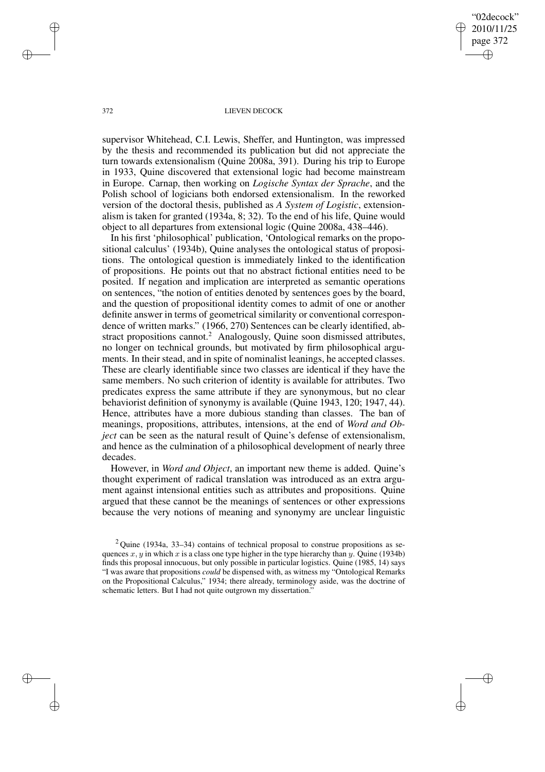"02decock" 2010/11/25 page 372 ✐ ✐

✐

✐

## 372 LIEVEN DECOCK

supervisor Whitehead, C.I. Lewis, Sheffer, and Huntington, was impressed by the thesis and recommended its publication but did not appreciate the turn towards extensionalism (Quine 2008a, 391). During his trip to Europe in 1933, Quine discovered that extensional logic had become mainstream in Europe. Carnap, then working on *Logische Syntax der Sprache*, and the Polish school of logicians both endorsed extensionalism. In the reworked version of the doctoral thesis, published as *A System of Logistic*, extensionalism is taken for granted (1934a, 8; 32). To the end of his life, Quine would object to all departures from extensional logic (Quine 2008a, 438–446).

In his first 'philosophical' publication, 'Ontological remarks on the propositional calculus' (1934b), Quine analyses the ontological status of propositions. The ontological question is immediately linked to the identification of propositions. He points out that no abstract fictional entities need to be posited. If negation and implication are interpreted as semantic operations on sentences, "the notion of entities denoted by sentences goes by the board, and the question of propositional identity comes to admit of one or another definite answer in terms of geometrical similarity or conventional correspondence of written marks." (1966, 270) Sentences can be clearly identified, abstract propositions cannot.<sup>2</sup> Analogously, Quine soon dismissed attributes, no longer on technical grounds, but motivated by firm philosophical arguments. In their stead, and in spite of nominalist leanings, he accepted classes. These are clearly identifiable since two classes are identical if they have the same members. No such criterion of identity is available for attributes. Two predicates express the same attribute if they are synonymous, but no clear behaviorist definition of synonymy is available (Quine 1943, 120; 1947, 44). Hence, attributes have a more dubious standing than classes. The ban of meanings, propositions, attributes, intensions, at the end of *Word and Object* can be seen as the natural result of Quine's defense of extensionalism, and hence as the culmination of a philosophical development of nearly three decades.

However, in *Word and Object*, an important new theme is added. Quine's thought experiment of radical translation was introduced as an extra argument against intensional entities such as attributes and propositions. Quine argued that these cannot be the meanings of sentences or other expressions because the very notions of meaning and synonymy are unclear linguistic

✐

✐

✐

 $2$ Quine (1934a, 33–34) contains of technical proposal to construe propositions as sequences x, y in which x is a class one type higher in the type hierarchy than y. Quine (1934b) finds this proposal innocuous, but only possible in particular logistics. Quine (1985, 14) says "I was aware that propositions *could* be dispensed with, as witness my "Ontological Remarks on the Propositional Calculus," 1934; there already, terminology aside, was the doctrine of schematic letters. But I had not quite outgrown my dissertation."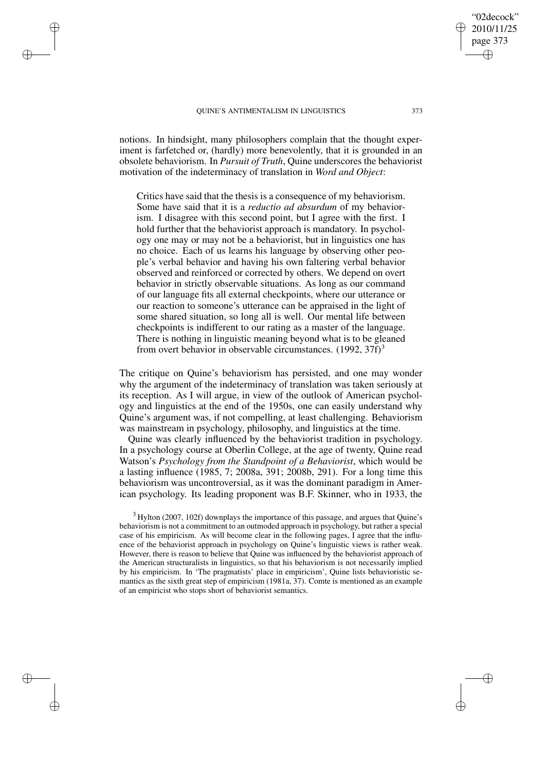✐

✐

✐

✐

notions. In hindsight, many philosophers complain that the thought experiment is farfetched or, (hardly) more benevolently, that it is grounded in an obsolete behaviorism. In *Pursuit of Truth*, Quine underscores the behaviorist motivation of the indeterminacy of translation in *Word and Object*:

Critics have said that the thesis is a consequence of my behaviorism. Some have said that it is a *reductio ad absurdum* of my behaviorism. I disagree with this second point, but I agree with the first. I hold further that the behaviorist approach is mandatory. In psychology one may or may not be a behaviorist, but in linguistics one has no choice. Each of us learns his language by observing other people's verbal behavior and having his own faltering verbal behavior observed and reinforced or corrected by others. We depend on overt behavior in strictly observable situations. As long as our command of our language fits all external checkpoints, where our utterance or our reaction to someone's utterance can be appraised in the light of some shared situation, so long all is well. Our mental life between checkpoints is indifferent to our rating as a master of the language. There is nothing in linguistic meaning beyond what is to be gleaned from overt behavior in observable circumstances.  $(1992, 37f)^3$ 

The critique on Quine's behaviorism has persisted, and one may wonder why the argument of the indeterminacy of translation was taken seriously at its reception. As I will argue, in view of the outlook of American psychology and linguistics at the end of the 1950s, one can easily understand why Quine's argument was, if not compelling, at least challenging. Behaviorism was mainstream in psychology, philosophy, and linguistics at the time.

Quine was clearly influenced by the behaviorist tradition in psychology. In a psychology course at Oberlin College, at the age of twenty, Quine read Watson's *Psychology from the Standpoint of a Behaviorist*, which would be a lasting influence (1985, 7; 2008a, 391; 2008b, 291). For a long time this behaviorism was uncontroversial, as it was the dominant paradigm in American psychology. Its leading proponent was B.F. Skinner, who in 1933, the

<sup>3</sup> Hylton (2007, 102f) downplays the importance of this passage, and argues that Quine's behaviorism is not a commitment to an outmoded approach in psychology, but rather a special case of his empiricism. As will become clear in the following pages, I agree that the influence of the behaviorist approach in psychology on Quine's linguistic views is rather weak. However, there is reason to believe that Quine was influenced by the behaviorist approach of the American structuralists in linguistics, so that his behaviorism is not necessarily implied by his empiricism. In 'The pragmatists' place in empiricism', Quine lists behavioristic semantics as the sixth great step of empiricism (1981a, 37). Comte is mentioned as an example of an empiricist who stops short of behaviorist semantics.

"02decock" 2010/11/25 page 373

✐

✐

✐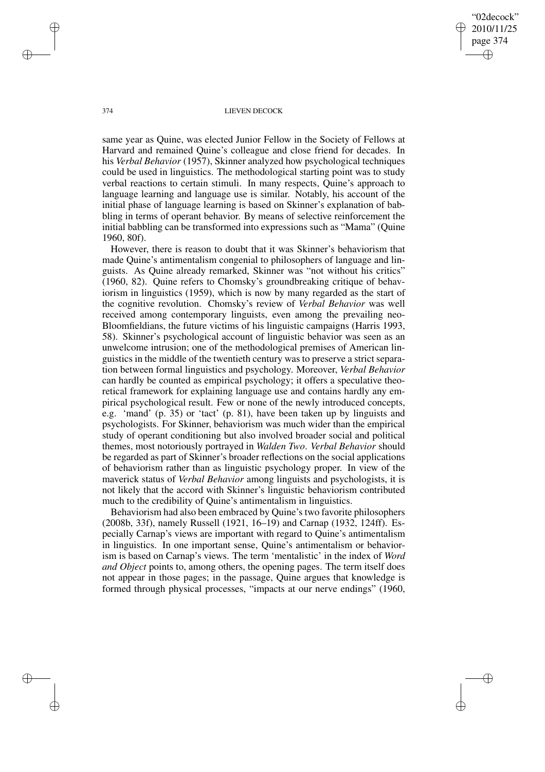"02decock" 2010/11/25 page 374 ✐ ✐

✐

✐

## 374 LIEVEN DECOCK

same year as Quine, was elected Junior Fellow in the Society of Fellows at Harvard and remained Quine's colleague and close friend for decades. In his *Verbal Behavior* (1957), Skinner analyzed how psychological techniques could be used in linguistics. The methodological starting point was to study verbal reactions to certain stimuli. In many respects, Quine's approach to language learning and language use is similar. Notably, his account of the initial phase of language learning is based on Skinner's explanation of babbling in terms of operant behavior. By means of selective reinforcement the initial babbling can be transformed into expressions such as "Mama" (Quine 1960, 80f).

However, there is reason to doubt that it was Skinner's behaviorism that made Quine's antimentalism congenial to philosophers of language and linguists. As Quine already remarked, Skinner was "not without his critics" (1960, 82). Quine refers to Chomsky's groundbreaking critique of behaviorism in linguistics (1959), which is now by many regarded as the start of the cognitive revolution. Chomsky's review of *Verbal Behavior* was well received among contemporary linguists, even among the prevailing neo-Bloomfieldians, the future victims of his linguistic campaigns (Harris 1993, 58). Skinner's psychological account of linguistic behavior was seen as an unwelcome intrusion; one of the methodological premises of American linguistics in the middle of the twentieth century was to preserve a strict separation between formal linguistics and psychology. Moreover, *Verbal Behavior* can hardly be counted as empirical psychology; it offers a speculative theoretical framework for explaining language use and contains hardly any empirical psychological result. Few or none of the newly introduced concepts, e.g. 'mand' (p. 35) or 'tact' (p. 81), have been taken up by linguists and psychologists. For Skinner, behaviorism was much wider than the empirical study of operant conditioning but also involved broader social and political themes, most notoriously portrayed in *Walden Two*. *Verbal Behavior* should be regarded as part of Skinner's broader reflections on the social applications of behaviorism rather than as linguistic psychology proper. In view of the maverick status of *Verbal Behavior* among linguists and psychologists, it is not likely that the accord with Skinner's linguistic behaviorism contributed much to the credibility of Quine's antimentalism in linguistics.

Behaviorism had also been embraced by Quine's two favorite philosophers (2008b, 33f), namely Russell (1921, 16–19) and Carnap (1932, 124ff). Especially Carnap's views are important with regard to Quine's antimentalism in linguistics. In one important sense, Quine's antimentalism or behaviorism is based on Carnap's views. The term 'mentalistic' in the index of *Word and Object* points to, among others, the opening pages. The term itself does not appear in those pages; in the passage, Quine argues that knowledge is formed through physical processes, "impacts at our nerve endings" (1960,

✐

✐

✐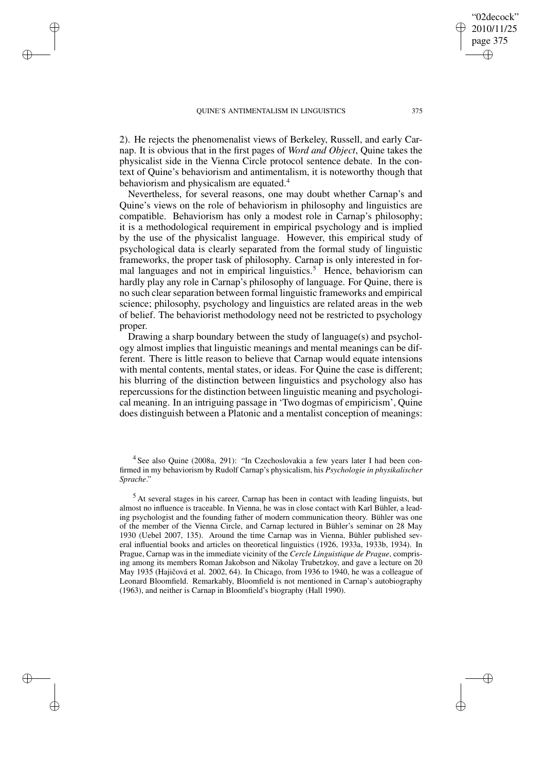✐

✐

✐

✐

2). He rejects the phenomenalist views of Berkeley, Russell, and early Carnap. It is obvious that in the first pages of *Word and Object*, Quine takes the physicalist side in the Vienna Circle protocol sentence debate. In the context of Quine's behaviorism and antimentalism, it is noteworthy though that behaviorism and physicalism are equated.<sup>4</sup>

Nevertheless, for several reasons, one may doubt whether Carnap's and Quine's views on the role of behaviorism in philosophy and linguistics are compatible. Behaviorism has only a modest role in Carnap's philosophy; it is a methodological requirement in empirical psychology and is implied by the use of the physicalist language. However, this empirical study of psychological data is clearly separated from the formal study of linguistic frameworks, the proper task of philosophy. Carnap is only interested in formal languages and not in empirical linguistics.<sup>5</sup> Hence, behaviorism can hardly play any role in Carnap's philosophy of language. For Quine, there is no such clear separation between formal linguistic frameworks and empirical science; philosophy, psychology and linguistics are related areas in the web of belief. The behaviorist methodology need not be restricted to psychology proper.

Drawing a sharp boundary between the study of language(s) and psychology almost implies that linguistic meanings and mental meanings can be different. There is little reason to believe that Carnap would equate intensions with mental contents, mental states, or ideas. For Quine the case is different; his blurring of the distinction between linguistics and psychology also has repercussions for the distinction between linguistic meaning and psychological meaning. In an intriguing passage in 'Two dogmas of empiricism', Quine does distinguish between a Platonic and a mentalist conception of meanings:

"02decock" 2010/11/25 page 375

✐

✐

✐

<sup>&</sup>lt;sup>4</sup> See also Quine (2008a, 291): "In Czechoslovakia a few years later I had been confirmed in my behaviorism by Rudolf Carnap's physicalism, his *Psychologie in physikalischer Sprache*."

<sup>5</sup> At several stages in his career, Carnap has been in contact with leading linguists, but almost no influence is traceable. In Vienna, he was in close contact with Karl Bühler, a leading psychologist and the founding father of modern communication theory. Bühler was one of the member of the Vienna Circle, and Carnap lectured in Bühler's seminar on 28 May 1930 (Uebel 2007, 135). Around the time Carnap was in Vienna, Bühler published several influential books and articles on theoretical linguistics (1926, 1933a, 1933b, 1934). In Prague, Carnap was in the immediate vicinity of the *Cercle Linguistique de Prague*, comprising among its members Roman Jakobson and Nikolay Trubetzkoy, and gave a lecture on 20 May 1935 (Hajičová et al. 2002, 64). In Chicago, from 1936 to 1940, he was a colleague of Leonard Bloomfield. Remarkably, Bloomfield is not mentioned in Carnap's autobiography (1963), and neither is Carnap in Bloomfield's biography (Hall 1990).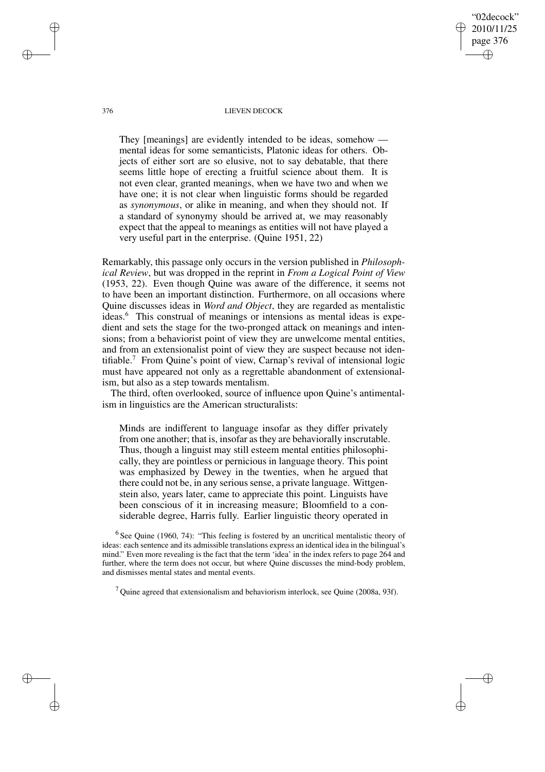376 LIEVEN DECOCK

"02decock" 2010/11/25 page 376

✐

✐

✐

✐

They [meanings] are evidently intended to be ideas, somehow mental ideas for some semanticists, Platonic ideas for others. Objects of either sort are so elusive, not to say debatable, that there seems little hope of erecting a fruitful science about them. It is not even clear, granted meanings, when we have two and when we have one; it is not clear when linguistic forms should be regarded as *synonymous*, or alike in meaning, and when they should not. If a standard of synonymy should be arrived at, we may reasonably expect that the appeal to meanings as entities will not have played a very useful part in the enterprise. (Quine 1951, 22)

Remarkably, this passage only occurs in the version published in *Philosophical Review*, but was dropped in the reprint in *From a Logical Point of View* (1953, 22). Even though Quine was aware of the difference, it seems not to have been an important distinction. Furthermore, on all occasions where Quine discusses ideas in *Word and Object*, they are regarded as mentalistic ideas.<sup>6</sup> This construal of meanings or intensions as mental ideas is expedient and sets the stage for the two-pronged attack on meanings and intensions; from a behaviorist point of view they are unwelcome mental entities, and from an extensionalist point of view they are suspect because not identifiable.<sup>7</sup> From Quine's point of view, Carnap's revival of intensional logic must have appeared not only as a regrettable abandonment of extensionalism, but also as a step towards mentalism.

The third, often overlooked, source of influence upon Quine's antimentalism in linguistics are the American structuralists:

Minds are indifferent to language insofar as they differ privately from one another; that is, insofar asthey are behaviorally inscrutable. Thus, though a linguist may still esteem mental entities philosophically, they are pointless or pernicious in language theory. This point was emphasized by Dewey in the twenties, when he argued that there could not be, in any serious sense, a private language. Wittgenstein also, years later, came to appreciate this point. Linguists have been conscious of it in increasing measure; Bloomfield to a considerable degree, Harris fully. Earlier linguistic theory operated in

 $6$  See Quine (1960, 74): "This feeling is fostered by an uncritical mentalistic theory of ideas: each sentence and its admissible translations express an identical idea in the bilingual's mind." Even more revealing is the fact that the term 'idea' in the index refers to page 264 and further, where the term does not occur, but where Quine discusses the mind-body problem, and dismisses mental states and mental events.

<sup>7</sup> Quine agreed that extensionalism and behaviorism interlock, see Quine (2008a, 93f).

✐

✐

✐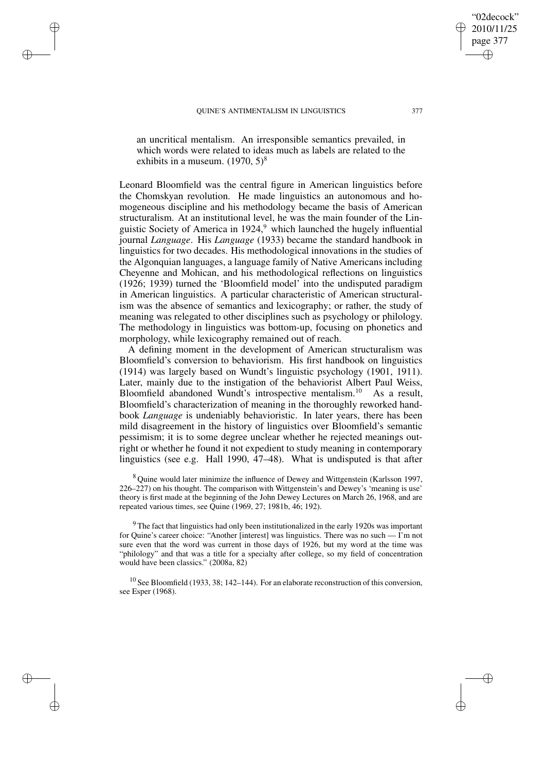✐

✐

✐

✐

"02decock" 2010/11/25 page 377 ✐ ✐

✐

✐

an uncritical mentalism. An irresponsible semantics prevailed, in which words were related to ideas much as labels are related to the exhibits in a museum.  $(1970, 5)^8$ 

Leonard Bloomfield was the central figure in American linguistics before the Chomskyan revolution. He made linguistics an autonomous and homogeneous discipline and his methodology became the basis of American structuralism. At an institutional level, he was the main founder of the Linguistic Society of America in  $1924<sup>9</sup>$  which launched the hugely influential journal *Language*. His *Language* (1933) became the standard handbook in linguistics for two decades. His methodological innovations in the studies of the Algonquian languages, a language family of Native Americans including Cheyenne and Mohican, and his methodological reflections on linguistics (1926; 1939) turned the 'Bloomfield model' into the undisputed paradigm in American linguistics. A particular characteristic of American structuralism was the absence of semantics and lexicography; or rather, the study of meaning was relegated to other disciplines such as psychology or philology. The methodology in linguistics was bottom-up, focusing on phonetics and morphology, while lexicography remained out of reach.

A defining moment in the development of American structuralism was Bloomfield's conversion to behaviorism. His first handbook on linguistics (1914) was largely based on Wundt's linguistic psychology (1901, 1911). Later, mainly due to the instigation of the behaviorist Albert Paul Weiss, Bloomfield abandoned Wundt's introspective mentalism.<sup>10</sup> As a result, Bloomfield's characterization of meaning in the thoroughly reworked handbook *Language* is undeniably behavioristic. In later years, there has been mild disagreement in the history of linguistics over Bloomfield's semantic pessimism; it is to some degree unclear whether he rejected meanings outright or whether he found it not expedient to study meaning in contemporary linguistics (see e.g. Hall 1990, 47–48). What is undisputed is that after

<sup>8</sup> Ouine would later minimize the influence of Dewey and Wittgenstein (Karlsson 1997, 226–227) on his thought. The comparison with Wittgenstein's and Dewey's 'meaning is use' theory is first made at the beginning of the John Dewey Lectures on March 26, 1968, and are repeated various times, see Quine (1969, 27; 1981b, 46; 192).

<sup>9</sup> The fact that linguistics had only been institutionalized in the early 1920s was important for Quine's career choice: "Another [interest] was linguistics. There was no such  $\overline{\phantom{a}}$  I'm not sure even that the word was current in those days of 1926, but my word at the time was "philology" and that was a title for a specialty after college, so my field of concentration would have been classics." (2008a, 82)

 $10$  See Bloomfield (1933, 38; 142–144). For an elaborate reconstruction of this conversion, see Esper (1968).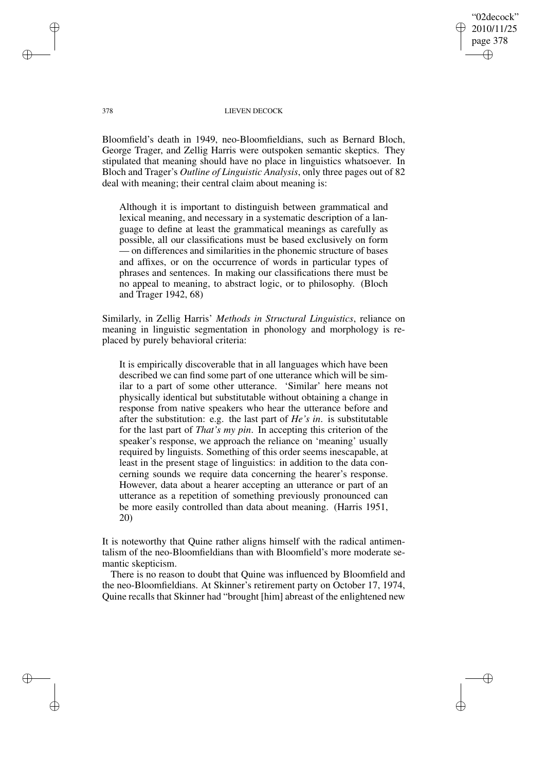"02decock" 2010/11/25 page 378 ✐ ✐

✐

✐

## 378 LIEVEN DECOCK

Bloomfield's death in 1949, neo-Bloomfieldians, such as Bernard Bloch, George Trager, and Zellig Harris were outspoken semantic skeptics. They stipulated that meaning should have no place in linguistics whatsoever. In Bloch and Trager's *Outline of Linguistic Analysis*, only three pages out of 82 deal with meaning; their central claim about meaning is:

Although it is important to distinguish between grammatical and lexical meaning, and necessary in a systematic description of a language to define at least the grammatical meanings as carefully as possible, all our classifications must be based exclusively on form — on differences and similarities in the phonemic structure of bases and affixes, or on the occurrence of words in particular types of phrases and sentences. In making our classifications there must be no appeal to meaning, to abstract logic, or to philosophy. (Bloch and Trager 1942, 68)

Similarly, in Zellig Harris' *Methods in Structural Linguistics*, reliance on meaning in linguistic segmentation in phonology and morphology is replaced by purely behavioral criteria:

It is empirically discoverable that in all languages which have been described we can find some part of one utterance which will be similar to a part of some other utterance. 'Similar' here means not physically identical but substitutable without obtaining a change in response from native speakers who hear the utterance before and after the substitution: e.g. the last part of *He's in*. is substitutable for the last part of *That's my pin*. In accepting this criterion of the speaker's response, we approach the reliance on 'meaning' usually required by linguists. Something of this order seems inescapable, at least in the present stage of linguistics: in addition to the data concerning sounds we require data concerning the hearer's response. However, data about a hearer accepting an utterance or part of an utterance as a repetition of something previously pronounced can be more easily controlled than data about meaning. (Harris 1951, 20)

It is noteworthy that Quine rather aligns himself with the radical antimentalism of the neo-Bloomfieldians than with Bloomfield's more moderate semantic skepticism.

There is no reason to doubt that Quine was influenced by Bloomfield and the neo-Bloomfieldians. At Skinner's retirement party on October 17, 1974, Quine recalls that Skinner had "brought [him] abreast of the enlightened new

✐

✐

✐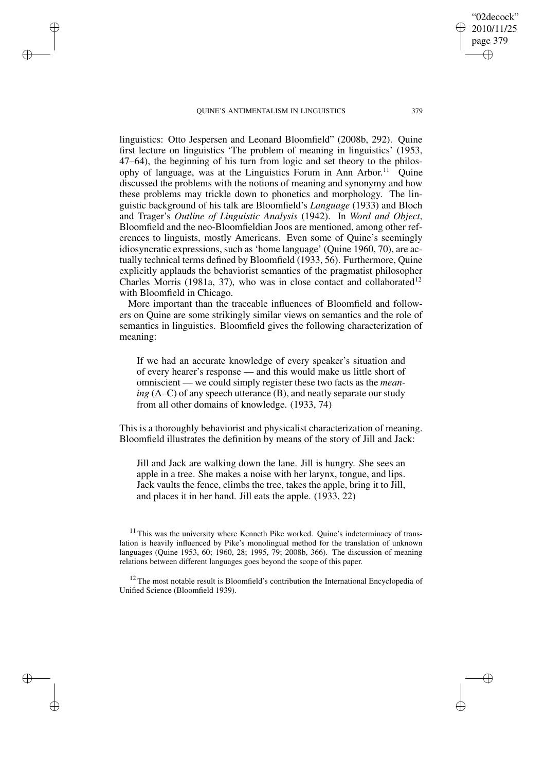✐

✐

✐

✐

linguistics: Otto Jespersen and Leonard Bloomfield" (2008b, 292). Quine first lecture on linguistics 'The problem of meaning in linguistics' (1953, 47–64), the beginning of his turn from logic and set theory to the philosophy of language, was at the Linguistics Forum in Ann Arbor.<sup>11</sup> Quine discussed the problems with the notions of meaning and synonymy and how these problems may trickle down to phonetics and morphology. The linguistic background of his talk are Bloomfield's *Language* (1933) and Bloch and Trager's *Outline of Linguistic Analysis* (1942). In *Word and Object*, Bloomfield and the neo-Bloomfieldian Joos are mentioned, among other references to linguists, mostly Americans. Even some of Quine's seemingly idiosyncratic expressions, such as 'home language' (Quine 1960, 70), are actually technical terms defined by Bloomfield (1933, 56). Furthermore, Quine explicitly applauds the behaviorist semantics of the pragmatist philosopher Charles Morris (1981a, 37), who was in close contact and collaborated<sup>12</sup> with Bloomfield in Chicago.

More important than the traceable influences of Bloomfield and followers on Quine are some strikingly similar views on semantics and the role of semantics in linguistics. Bloomfield gives the following characterization of meaning:

If we had an accurate knowledge of every speaker's situation and of every hearer's response — and this would make us little short of omniscient — we could simply register these two facts as the *meaning* (A–C) of any speech utterance (B), and neatly separate our study from all other domains of knowledge. (1933, 74)

This is a thoroughly behaviorist and physicalist characterization of meaning. Bloomfield illustrates the definition by means of the story of Jill and Jack:

Jill and Jack are walking down the lane. Jill is hungry. She sees an apple in a tree. She makes a noise with her larynx, tongue, and lips. Jack vaults the fence, climbs the tree, takes the apple, bring it to Jill, and places it in her hand. Jill eats the apple. (1933, 22)

"02decock" 2010/11/25 page 379

✐

✐

✐

<sup>&</sup>lt;sup>11</sup> This was the university where Kenneth Pike worked. Quine's indeterminacy of translation is heavily influenced by Pike's monolingual method for the translation of unknown languages (Quine 1953, 60; 1960, 28; 1995, 79; 2008b, 366). The discussion of meaning relations between different languages goes beyond the scope of this paper.

<sup>&</sup>lt;sup>12</sup> The most notable result is Bloomfield's contribution the International Encyclopedia of Unified Science (Bloomfield 1939).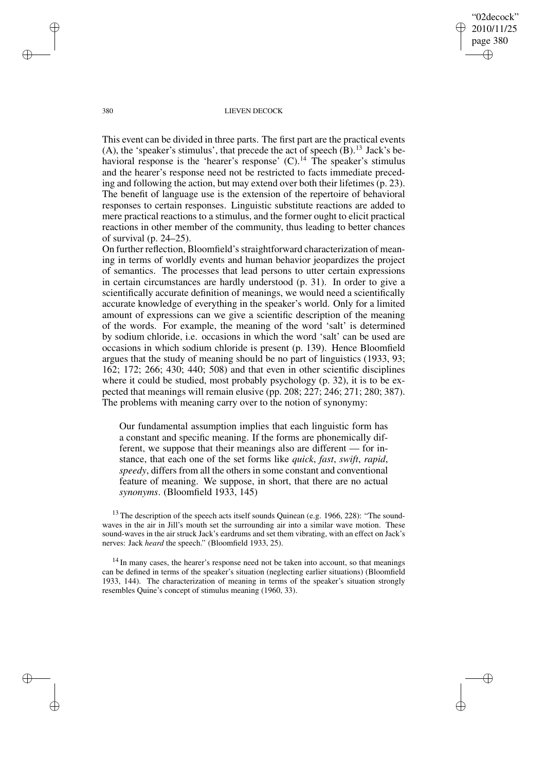"02decock" 2010/11/25 page 380 ✐ ✐

✐

✐

#### 380 LIEVEN DECOCK

This event can be divided in three parts. The first part are the practical events (A), the 'speaker's stimulus', that precede the act of speech  $(B)$ .<sup>13</sup> Jack's behavioral response is the 'hearer's response' (C).<sup>14</sup> The speaker's stimulus and the hearer's response need not be restricted to facts immediate preceding and following the action, but may extend over both their lifetimes (p. 23). The benefit of language use is the extension of the repertoire of behavioral responses to certain responses. Linguistic substitute reactions are added to mere practical reactions to a stimulus, and the former ought to elicit practical reactions in other member of the community, thus leading to better chances of survival (p. 24–25).

On further reflection, Bloomfield'sstraightforward characterization of meaning in terms of worldly events and human behavior jeopardizes the project of semantics. The processes that lead persons to utter certain expressions in certain circumstances are hardly understood (p. 31). In order to give a scientifically accurate definition of meanings, we would need a scientifically accurate knowledge of everything in the speaker's world. Only for a limited amount of expressions can we give a scientific description of the meaning of the words. For example, the meaning of the word 'salt' is determined by sodium chloride, i.e. occasions in which the word 'salt' can be used are occasions in which sodium chloride is present (p. 139). Hence Bloomfield argues that the study of meaning should be no part of linguistics (1933, 93; 162; 172; 266; 430; 440; 508) and that even in other scientific disciplines where it could be studied, most probably psychology (p. 32), it is to be expected that meanings will remain elusive (pp. 208; 227; 246; 271; 280; 387). The problems with meaning carry over to the notion of synonymy:

Our fundamental assumption implies that each linguistic form has a constant and specific meaning. If the forms are phonemically different, we suppose that their meanings also are different — for instance, that each one of the set forms like *quick*, *fast*, *swift*, *rapid*, *speedy*, differs from all the others in some constant and conventional feature of meaning. We suppose, in short, that there are no actual *synonyms*. (Bloomfield 1933, 145)

 $13$  The description of the speech acts itself sounds Quinean (e.g. 1966, 228): "The soundwaves in the air in Jill's mouth set the surrounding air into a similar wave motion. These sound-waves in the air struck Jack's eardrums and set them vibrating, with an effect on Jack's nerves: Jack *heard* the speech." (Bloomfield 1933, 25).

<sup>14</sup> In many cases, the hearer's response need not be taken into account, so that meanings can be defined in terms of the speaker's situation (neglecting earlier situations) (Bloomfield 1933, 144). The characterization of meaning in terms of the speaker's situation strongly resembles Quine's concept of stimulus meaning (1960, 33).

✐

✐

✐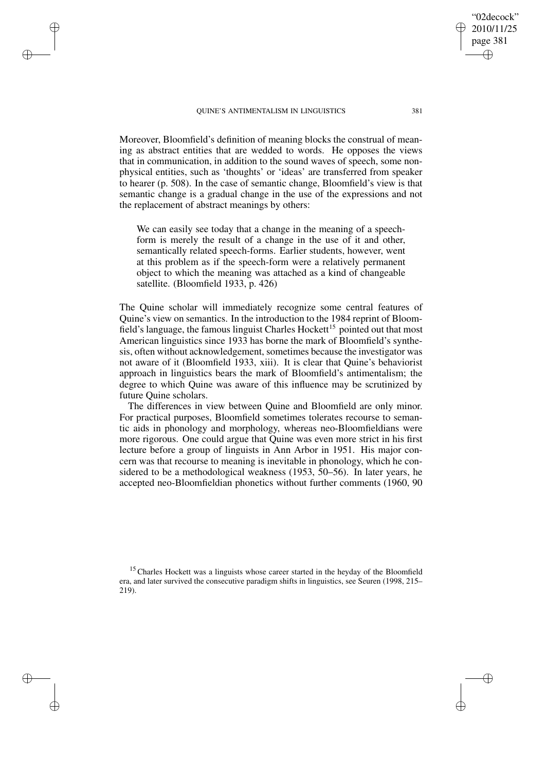✐

✐

✐

✐

Moreover, Bloomfield's definition of meaning blocks the construal of meaning as abstract entities that are wedded to words. He opposes the views that in communication, in addition to the sound waves of speech, some nonphysical entities, such as 'thoughts' or 'ideas' are transferred from speaker to hearer (p. 508). In the case of semantic change, Bloomfield's view is that semantic change is a gradual change in the use of the expressions and not the replacement of abstract meanings by others:

We can easily see today that a change in the meaning of a speechform is merely the result of a change in the use of it and other, semantically related speech-forms. Earlier students, however, went at this problem as if the speech-form were a relatively permanent object to which the meaning was attached as a kind of changeable satellite. (Bloomfield 1933, p. 426)

The Quine scholar will immediately recognize some central features of Quine's view on semantics. In the introduction to the 1984 reprint of Bloomfield's language, the famous linguist Charles Hockett<sup>15</sup> pointed out that most American linguistics since 1933 has borne the mark of Bloomfield's synthesis, often without acknowledgement, sometimes because the investigator was not aware of it (Bloomfield 1933, xiii). It is clear that Quine's behaviorist approach in linguistics bears the mark of Bloomfield's antimentalism; the degree to which Quine was aware of this influence may be scrutinized by future Quine scholars.

The differences in view between Quine and Bloomfield are only minor. For practical purposes, Bloomfield sometimes tolerates recourse to semantic aids in phonology and morphology, whereas neo-Bloomfieldians were more rigorous. One could argue that Quine was even more strict in his first lecture before a group of linguists in Ann Arbor in 1951. His major concern was that recourse to meaning is inevitable in phonology, which he considered to be a methodological weakness (1953, 50–56). In later years, he accepted neo-Bloomfieldian phonetics without further comments (1960, 90

<sup>15</sup> Charles Hockett was a linguists whose career started in the heyday of the Bloomfield era, and later survived the consecutive paradigm shifts in linguistics, see Seuren (1998, 215– 219).

"02decock" 2010/11/25 page 381

✐

✐

✐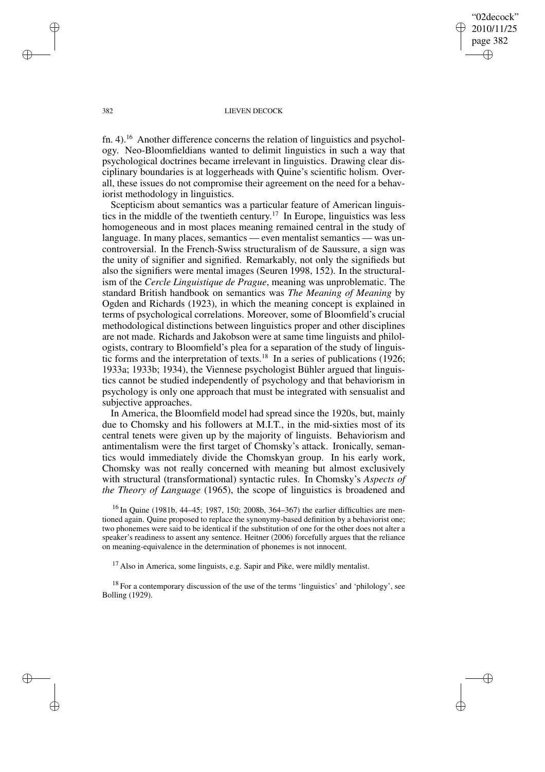"02decock" 2010/11/25 page 382 ✐ ✐

✐

✐

## 382 LIEVEN DECOCK

fn. 4).<sup>16</sup> Another difference concerns the relation of linguistics and psychology. Neo-Bloomfieldians wanted to delimit linguistics in such a way that psychological doctrines became irrelevant in linguistics. Drawing clear disciplinary boundaries is at loggerheads with Quine's scientific holism. Overall, these issues do not compromise their agreement on the need for a behaviorist methodology in linguistics.

Scepticism about semantics was a particular feature of American linguistics in the middle of the twentieth century. <sup>17</sup> In Europe, linguistics was less homogeneous and in most places meaning remained central in the study of language. In many places, semantics — even mentalist semantics — was uncontroversial. In the French-Swiss structuralism of de Saussure, a sign was the unity of signifier and signified. Remarkably, not only the signifieds but also the signifiers were mental images (Seuren 1998, 152). In the structuralism of the *Cercle Linguistique de Prague*, meaning was unproblematic. The standard British handbook on semantics was *The Meaning of Meaning* by Ogden and Richards (1923), in which the meaning concept is explained in terms of psychological correlations. Moreover, some of Bloomfield's crucial methodological distinctions between linguistics proper and other disciplines are not made. Richards and Jakobson were at same time linguists and philologists, contrary to Bloomfield's plea for a separation of the study of linguistic forms and the interpretation of texts.<sup>18</sup> In a series of publications (1926; 1933a; 1933b; 1934), the Viennese psychologist Bühler argued that linguistics cannot be studied independently of psychology and that behaviorism in psychology is only one approach that must be integrated with sensualist and subjective approaches.

In America, the Bloomfield model had spread since the 1920s, but, mainly due to Chomsky and his followers at M.I.T., in the mid-sixties most of its central tenets were given up by the majority of linguists. Behaviorism and antimentalism were the first target of Chomsky's attack. Ironically, semantics would immediately divide the Chomskyan group. In his early work, Chomsky was not really concerned with meaning but almost exclusively with structural (transformational) syntactic rules. In Chomsky's *Aspects of the Theory of Language* (1965), the scope of linguistics is broadened and

 $^{16}$  In Quine (1981b, 44–45; 1987, 150; 2008b, 364–367) the earlier difficulties are mentioned again. Quine proposed to replace the synonymy-based definition by a behaviorist one; two phonemes were said to be identical if the substitution of one for the other does not alter a speaker's readiness to assent any sentence. Heitner (2006) forcefully argues that the reliance on meaning-equivalence in the determination of phonemes is not innocent.

 $17$  Also in America, some linguists, e.g. Sapir and Pike, were mildly mentalist.

<sup>18</sup> For a contemporary discussion of the use of the terms 'linguistics' and 'philology', see Bolling (1929).

✐

✐

✐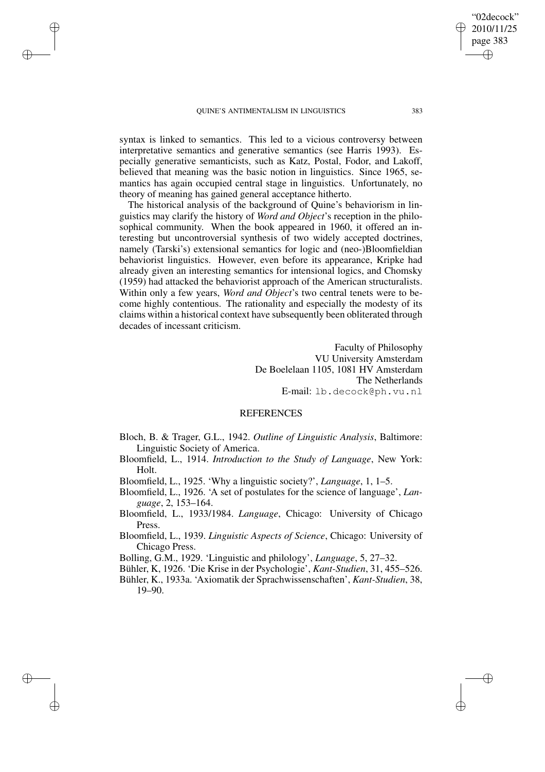✐

✐

✐

✐

syntax is linked to semantics. This led to a vicious controversy between interpretative semantics and generative semantics (see Harris 1993). Especially generative semanticists, such as Katz, Postal, Fodor, and Lakoff, believed that meaning was the basic notion in linguistics. Since 1965, semantics has again occupied central stage in linguistics. Unfortunately, no theory of meaning has gained general acceptance hitherto.

The historical analysis of the background of Quine's behaviorism in linguistics may clarify the history of *Word and Object*'s reception in the philosophical community. When the book appeared in 1960, it offered an interesting but uncontroversial synthesis of two widely accepted doctrines, namely (Tarski's) extensional semantics for logic and (neo-)Bloomfieldian behaviorist linguistics. However, even before its appearance, Kripke had already given an interesting semantics for intensional logics, and Chomsky (1959) had attacked the behaviorist approach of the American structuralists. Within only a few years, *Word and Object*'s two central tenets were to become highly contentious. The rationality and especially the modesty of its claims within a historical context have subsequently been obliterated through decades of incessant criticism.

> Faculty of Philosophy VU University Amsterdam De Boelelaan 1105, 1081 HV Amsterdam The Netherlands E-mail: lb.decock@ph.vu.nl

## REFERENCES

- Bloch, B. & Trager, G.L., 1942. *Outline of Linguistic Analysis*, Baltimore: Linguistic Society of America.
- Bloomfield, L., 1914. *Introduction to the Study of Language*, New York: Holt.
- Bloomfield, L., 1925. 'Why a linguistic society?', *Language*, 1, 1–5.
- Bloomfield, L., 1926. 'A set of postulates for the science of language', *Language*, 2, 153–164.
- Bloomfield, L., 1933/1984. *Language*, Chicago: University of Chicago Press.
- Bloomfield, L., 1939. *Linguistic Aspects of Science*, Chicago: University of Chicago Press.

Bolling, G.M., 1929. 'Linguistic and philology', *Language*, 5, 27–32.

Bühler, K, 1926. 'Die Krise in der Psychologie', *Kant-Studien*, 31, 455–526.

Bühler, K., 1933a. 'Axiomatik der Sprachwissenschaften', *Kant-Studien*, 38, 19–90.

"02decock" 2010/11/25 page 383

✐

✐

✐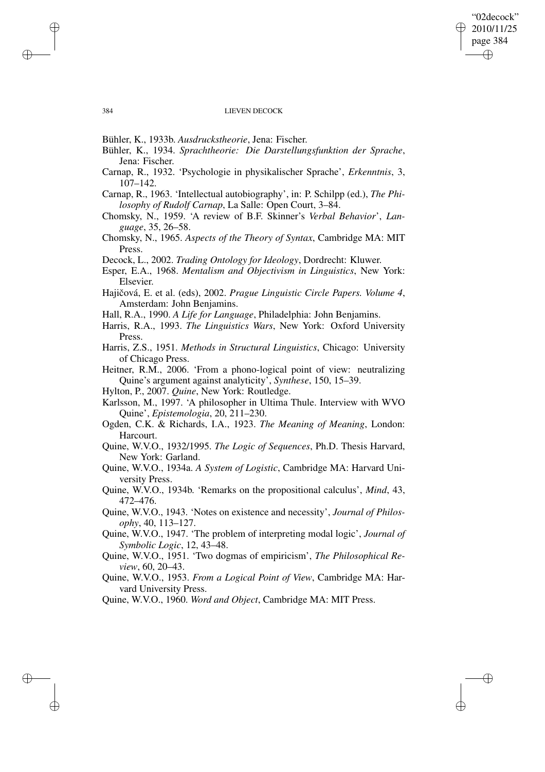## "02decock" 2010/11/25 page 384 ✐ ✐

 $\bigoplus$ 

✐

## 384 LIEVEN DECOCK

Bühler, K., 1933b. *Ausdruckstheorie*, Jena: Fischer.

- Bühler, K., 1934. *Sprachtheorie: Die Darstellungsfunktion der Sprache*, Jena: Fischer.
- Carnap, R., 1932. 'Psychologie in physikalischer Sprache', *Erkenntnis*, 3, 107–142.

Carnap, R., 1963. 'Intellectual autobiography', in: P. Schilpp (ed.), *The Philosophy of Rudolf Carnap*, La Salle: Open Court, 3–84.

- Chomsky, N., 1959. 'A review of B.F. Skinner's *Verbal Behavior*', *Language*, 35, 26–58.
- Chomsky, N., 1965. *Aspects of the Theory of Syntax*, Cambridge MA: MIT Press.

Decock, L., 2002. *Trading Ontology for Ideology*, Dordrecht: Kluwer.

- Esper, E.A., 1968. *Mentalism and Objectivism in Linguistics*, New York: Elsevier.
- Hajicoˇ vá, E. et al. (eds), 2002. *Prague Linguistic Circle Papers. Volume 4*, Amsterdam: John Benjamins.
- Hall, R.A., 1990. *A Life for Language*, Philadelphia: John Benjamins.
- Harris, R.A., 1993. *The Linguistics Wars*, New York: Oxford University Press.
- Harris, Z.S., 1951. *Methods in Structural Linguistics*, Chicago: University of Chicago Press.
- Heitner, R.M., 2006. 'From a phono-logical point of view: neutralizing Quine's argument against analyticity', *Synthese*, 150, 15–39.

Hylton, P., 2007. *Quine*, New York: Routledge.

Karlsson, M., 1997. 'A philosopher in Ultima Thule. Interview with WVO Quine', *Epistemologia*, 20, 211–230.

Ogden, C.K. & Richards, I.A., 1923. *The Meaning of Meaning*, London: Harcourt.

Quine, W.V.O., 1932/1995. *The Logic of Sequences*, Ph.D. Thesis Harvard, New York: Garland.

Quine, W.V.O., 1934a. *A System of Logistic*, Cambridge MA: Harvard University Press.

Quine, W.V.O., 1934b. 'Remarks on the propositional calculus', *Mind*, 43, 472–476.

Quine, W.V.O., 1943. 'Notes on existence and necessity', *Journal of Philosophy*, 40, 113–127.

- Quine, W.V.O., 1947. 'The problem of interpreting modal logic', *Journal of Symbolic Logic*, 12, 43–48.
- Quine, W.V.O., 1951. 'Two dogmas of empiricism', *The Philosophical Review*, 60, 20–43.

Quine, W.V.O., 1953. *From a Logical Point of View*, Cambridge MA: Harvard University Press.

Quine, W.V.O., 1960. *Word and Object*, Cambridge MA: MIT Press.

✐

✐

✐